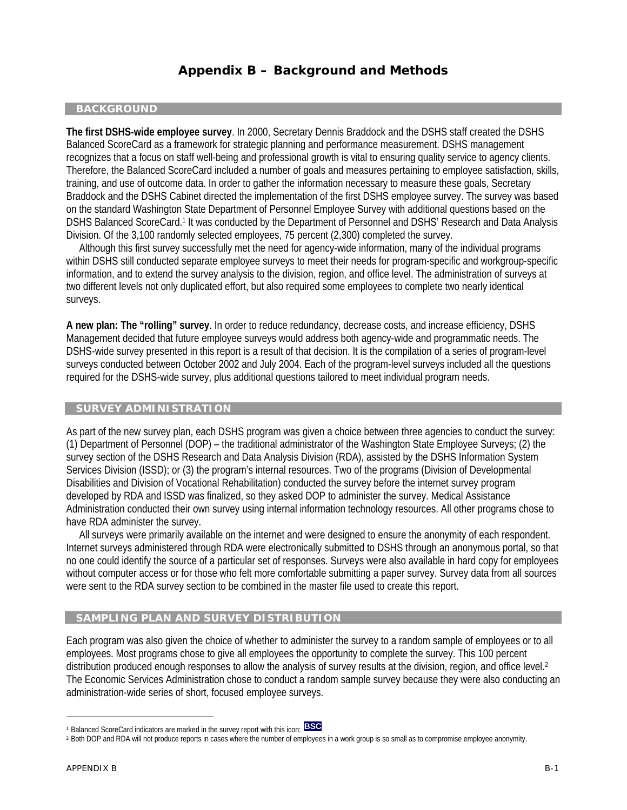# **Appendix B – Background and Methods**

### **BACKGROUND**

**The first DSHS-wide employee survey**. In 2000, Secretary Dennis Braddock and the DSHS staff created the DSHS Balanced ScoreCard as a framework for strategic planning and performance measurement. DSHS management recognizes that a focus on staff well-being and professional growth is vital to ensuring quality service to agency clients. Therefore, the Balanced ScoreCard included a number of goals and measures pertaining to employee satisfaction, skills, training, and use of outcome data. In order to gather the information necessary to measure these goals, Secretary Braddock and the DSHS Cabinet directed the implementation of the first DSHS employee survey. The survey was based on the standard Washington State Department of Personnel Employee Survey with additional questions based on the DSHS Balanced ScoreCard.1 It was conducted by the Department of Personnel and DSHS' Research and Data Analysis Division. Of the 3,100 randomly selected employees, 75 percent (2,300) completed the survey.

 Although this first survey successfully met the need for agency-wide information, many of the individual programs within DSHS still conducted separate employee surveys to meet their needs for program-specific and workgroup-specific information, and to extend the survey analysis to the division, region, and office level. The administration of surveys at two different levels not only duplicated effort, but also required some employees to complete two nearly identical surveys.

**A new plan: The "rolling" survey**. In order to reduce redundancy, decrease costs, and increase efficiency, DSHS Management decided that future employee surveys would address both agency-wide and programmatic needs. The DSHS-wide survey presented in this report is a result of that decision. It is the compilation of a series of program-level surveys conducted between October 2002 and July 2004. Each of the program-level surveys included all the questions required for the DSHS-wide survey, plus additional questions tailored to meet individual program needs.

#### **SURVEY ADMINISTRATION**

As part of the new survey plan, each DSHS program was given a choice between three agencies to conduct the survey: (1) Department of Personnel (DOP) – the traditional administrator of the Washington State Employee Surveys; (2) the survey section of the DSHS Research and Data Analysis Division (RDA), assisted by the DSHS Information System Services Division (ISSD); or (3) the program's internal resources. Two of the programs (Division of Developmental Disabilities and Division of Vocational Rehabilitation) conducted the survey before the internet survey program developed by RDA and ISSD was finalized, so they asked DOP to administer the survey. Medical Assistance Administration conducted their own survey using internal information technology resources. All other programs chose to have RDA administer the survey.

 All surveys were primarily available on the internet and were designed to ensure the anonymity of each respondent. Internet surveys administered through RDA were electronically submitted to DSHS through an anonymous portal, so that no one could identify the source of a particular set of responses. Surveys were also available in hard copy for employees without computer access or for those who felt more comfortable submitting a paper survey. Survey data from all sources were sent to the RDA survey section to be combined in the master file used to create this report.

### **SAMPLING PLAN AND SURVEY DISTRIBUTION**

Each program was also given the choice of whether to administer the survey to a random sample of employees or to all employees. Most programs chose to give all employees the opportunity to complete the survey. This 100 percent distribution produced enough responses to allow the analysis of survey results at the division, region, and office level.<sup>2</sup> The Economic Services Administration chose to conduct a random sample survey because they were also conducting an administration-wide series of short, focused employee surveys.

l

<sup>1</sup> Balanced ScoreCard indicators are marked in the survey report with this icon: **BSC**

<sup>&</sup>lt;sup>2</sup> Both DOP and RDA will not produce reports in cases where the number of employees in a work group is so small as to compromise employee anonymity.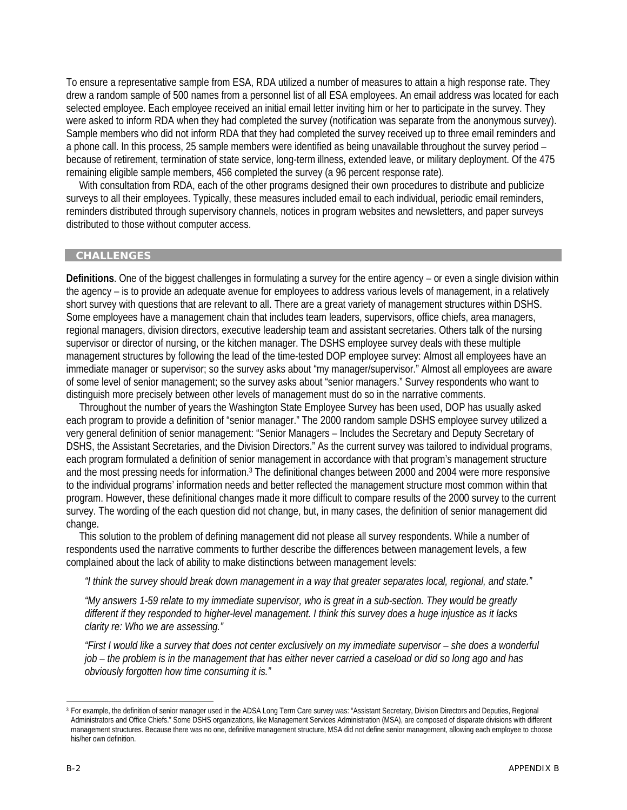To ensure a representative sample from ESA, RDA utilized a number of measures to attain a high response rate. They drew a random sample of 500 names from a personnel list of all ESA employees. An email address was located for each selected employee. Each employee received an initial email letter inviting him or her to participate in the survey. They were asked to inform RDA when they had completed the survey (notification was separate from the anonymous survey). Sample members who did not inform RDA that they had completed the survey received up to three email reminders and a phone call. In this process, 25 sample members were identified as being unavailable throughout the survey period – because of retirement, termination of state service, long-term illness, extended leave, or military deployment. Of the 475 remaining eligible sample members, 456 completed the survey (a 96 percent response rate).

 With consultation from RDA, each of the other programs designed their own procedures to distribute and publicize surveys to all their employees. Typically, these measures included email to each individual, periodic email reminders, reminders distributed through supervisory channels, notices in program websites and newsletters, and paper surveys distributed to those without computer access.

# **CHALLENGES**

**Definitions**. One of the biggest challenges in formulating a survey for the entire agency – or even a single division within the agency – is to provide an adequate avenue for employees to address various levels of management, in a relatively short survey with questions that are relevant to all. There are a great variety of management structures within DSHS. Some employees have a management chain that includes team leaders, supervisors, office chiefs, area managers, regional managers, division directors, executive leadership team and assistant secretaries. Others talk of the nursing supervisor or director of nursing, or the kitchen manager. The DSHS employee survey deals with these multiple management structures by following the lead of the time-tested DOP employee survey: Almost all employees have an immediate manager or supervisor; so the survey asks about "my manager/supervisor." Almost all employees are aware of some level of senior management; so the survey asks about "senior managers." Survey respondents who want to distinguish more precisely between other levels of management must do so in the narrative comments.

 Throughout the number of years the Washington State Employee Survey has been used, DOP has usually asked each program to provide a definition of "senior manager." The 2000 random sample DSHS employee survey utilized a very general definition of senior management: "Senior Managers – Includes the Secretary and Deputy Secretary of DSHS, the Assistant Secretaries, and the Division Directors." As the current survey was tailored to individual programs, each program formulated a definition of senior management in accordance with that program's management structure and the most pressing needs for information.3 The definitional changes between 2000 and 2004 were more responsive to the individual programs' information needs and better reflected the management structure most common within that program. However, these definitional changes made it more difficult to compare results of the 2000 survey to the current survey. The wording of the each question did not change, but, in many cases, the definition of senior management did change.

 This solution to the problem of defining management did not please all survey respondents. While a number of respondents used the narrative comments to further describe the differences between management levels, a few complained about the lack of ability to make distinctions between management levels:

*"I think the survey should break down management in a way that greater separates local, regional, and state."* 

*"My answers 1-59 relate to my immediate supervisor, who is great in a sub-section. They would be greatly different if they responded to higher-level management. I think this survey does a huge injustice as it lacks clarity re: Who we are assessing."* 

*"First I would like a survey that does not center exclusively on my immediate supervisor – she does a wonderful job – the problem is in the management that has either never carried a caseload or did so long ago and has obviously forgotten how time consuming it is."* 

l

<sup>&</sup>lt;sup>3</sup> For example, the definition of senior manager used in the ADSA Long Term Care survey was: "Assistant Secretary, Division Directors and Deputies, Regional Administrators and Office Chiefs." Some DSHS organizations, like Management Services Administration (MSA), are composed of disparate divisions with different management structures. Because there was no one, definitive management structure, MSA did not define senior management, allowing each employee to choose his/her own definition.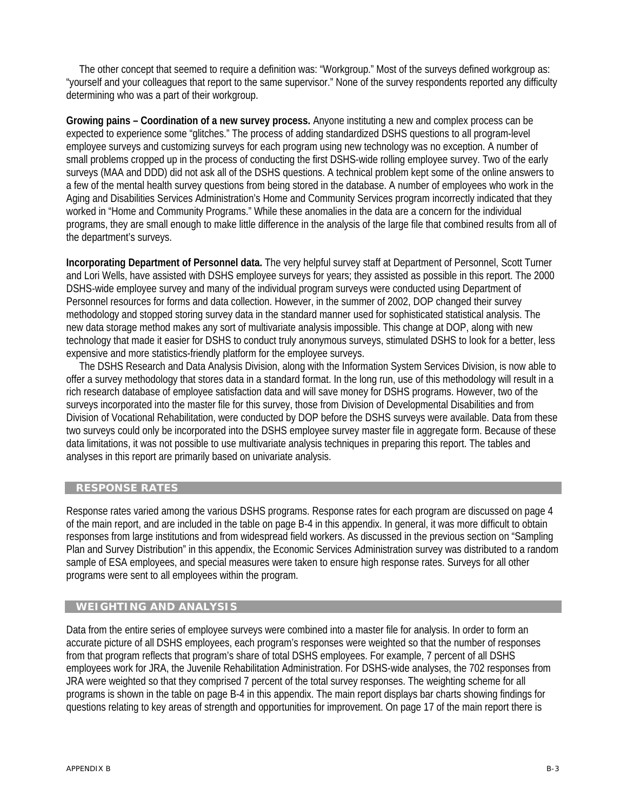The other concept that seemed to require a definition was: "Workgroup." Most of the surveys defined workgroup as: "yourself and your colleagues that report to the same supervisor." None of the survey respondents reported any difficulty determining who was a part of their workgroup.

**Growing pains – Coordination of a new survey process.** Anyone instituting a new and complex process can be expected to experience some "glitches." The process of adding standardized DSHS questions to all program-level employee surveys and customizing surveys for each program using new technology was no exception. A number of small problems cropped up in the process of conducting the first DSHS-wide rolling employee survey. Two of the early surveys (MAA and DDD) did not ask all of the DSHS questions. A technical problem kept some of the online answers to a few of the mental health survey questions from being stored in the database. A number of employees who work in the Aging and Disabilities Services Administration's Home and Community Services program incorrectly indicated that they worked in "Home and Community Programs." While these anomalies in the data are a concern for the individual programs, they are small enough to make little difference in the analysis of the large file that combined results from all of the department's surveys.

**Incorporating Department of Personnel data.** The very helpful survey staff at Department of Personnel, Scott Turner and Lori Wells, have assisted with DSHS employee surveys for years; they assisted as possible in this report. The 2000 DSHS-wide employee survey and many of the individual program surveys were conducted using Department of Personnel resources for forms and data collection. However, in the summer of 2002, DOP changed their survey methodology and stopped storing survey data in the standard manner used for sophisticated statistical analysis. The new data storage method makes any sort of multivariate analysis impossible. This change at DOP, along with new technology that made it easier for DSHS to conduct truly anonymous surveys, stimulated DSHS to look for a better, less expensive and more statistics-friendly platform for the employee surveys.

 The DSHS Research and Data Analysis Division, along with the Information System Services Division, is now able to offer a survey methodology that stores data in a standard format. In the long run, use of this methodology will result in a rich research database of employee satisfaction data and will save money for DSHS programs. However, two of the surveys incorporated into the master file for this survey, those from Division of Developmental Disabilities and from Division of Vocational Rehabilitation, were conducted by DOP before the DSHS surveys were available. Data from these two surveys could only be incorporated into the DSHS employee survey master file in aggregate form. Because of these data limitations, it was not possible to use multivariate analysis techniques in preparing this report. The tables and analyses in this report are primarily based on univariate analysis.

# **RESPONSE RATES**

Response rates varied among the various DSHS programs. Response rates for each program are discussed on page 4 of the main report, and are included in the table on page B-4 in this appendix. In general, it was more difficult to obtain responses from large institutions and from widespread field workers. As discussed in the previous section on "Sampling Plan and Survey Distribution" in this appendix, the Economic Services Administration survey was distributed to a random sample of ESA employees, and special measures were taken to ensure high response rates. Surveys for all other programs were sent to all employees within the program.

### **WEIGHTING AND ANALYSIS**

Data from the entire series of employee surveys were combined into a master file for analysis. In order to form an accurate picture of all DSHS employees, each program's responses were weighted so that the number of responses from that program reflects that program's share of total DSHS employees. For example, 7 percent of all DSHS employees work for JRA, the Juvenile Rehabilitation Administration. For DSHS-wide analyses, the 702 responses from JRA were weighted so that they comprised 7 percent of the total survey responses. The weighting scheme for all programs is shown in the table on page B-4 in this appendix. The main report displays bar charts showing findings for questions relating to key areas of strength and opportunities for improvement. On page 17 of the main report there is